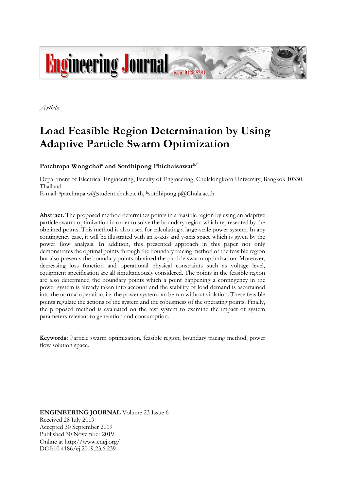

*Article*

# **Load Feasible Region Determination by Using Adaptive Particle Swarm Optimization**

Patchrapa Wongchai<sup>a</sup> and Sotdhipong Phichaisawat<sup>b,\*</sup>

Department of Electrical Engineering, Faculty of Engineering, Chulalongkorn University, Bangkok 10330, Thailand

E-mail: apatchrapa.w@student.chula.ac.th, <sup>b</sup>sotdhipong.p@Chula.ac.th

**Abstract.** The proposed method determines points in a feasible region by using an adaptive particle swarm optimization in order to solve the boundary region which represented by the obtained points. This method is also used for calculating a large-scale power system. In any contingency case, it will be illustrated with an x-axis and y-axis space which is given by the power flow analysis. In addition, this presented approach in this paper not only demonstrates the optimal points through the boundary tracing method of the feasible region but also presents the boundary points obtained the particle swarm optimization. Moreover, decreasing loss function and operational physical constraints such as voltage level, equipment specification are all simultaneously considered. The points in the feasible region are also determined the boundary points which a point happening a contingency in the power system is already taken into account and the stability of load demand is ascertained into the normal operation, i.e. the power system can be run without violation. These feasible points regulate the actions of the system and the robustness of the operating points. Finally, the proposed method is evaluated on the test system to examine the impact of system parameters relevant to generation and consumption.

**Keywords:** Particle swarm optimization, feasible region, boundary tracing method, power flow solution space.

**ENGINEERING JOURNAL** Volume 23 Issue 6 Received 28 July 2019 Accepted 30 September 2019 Published 30 November 2019 Online at http://www.engj.org/ DOI:10.4186/ej.2019.23.6.239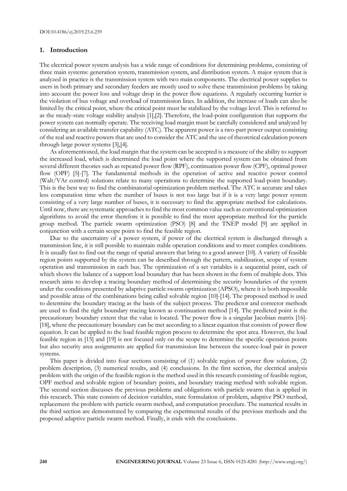## **1. Introduction**

The electrical power system analysis has a wide range of conditions for determining problems, consisting of three main systems: generation system, transmission system, and distribution system. A major system that is analyzed in practice is the transmission system with two main components. The electrical power supplies to users in both primary and secondary feeders are mostly used to solve these transmission problems by taking into account the power loss and voltage drop in the power flow equations. A regularly occurring barrier is the violation of bus voltage and overload of transmission lines. In addition, the increase of loads can also be limited by the critical point, where the critical point must be stabilized by the voltage level. This is referred to as the steady-state voltage stability analysis [1],[2]. Therefore, the load-point configuration that supports the power system can normally operate. The receiving load margin must be carefully considered and analyzed by considering an available transfer capability (ATC). The apparent power is a two-part power output consisting of the real and reactive powers that are used to consider the ATC and the use of theoretical calculation powers through large power systems [3],[4].

As aforementioned, the load margin that the system can be accepted is a measure of the ability to support the increased load, which is determined the load point where the supported system can be obtained from several different theories such as repeated power flow (RPF), continuation power flow (CPF), optimal power flow (OPF) [5]-[7]. The fundamental methods in the operation of active and reactive power control (Walt/VAr control) solutions relate to many operations to determine the supported load-point boundary. This is the best way to find the combinatorial optimization problem method. The ATC is accurate and takes less computation time when the number of buses is not too large but if it is a very large power system consisting of a very large number of buses, it is necessary to find the appropriate method for calculations. Until now, there are systematic approaches to find the most common value such as conventional optimization algorithms to avoid the error therefore it is possible to find the most appropriate method for the particle group method. The particle swarm optimization (PSO) [8] and the TNEP model [9] are applied in conjunction with a certain scope point to find the feasible region.

Due to the uncertainty of a power system, if power of the electrical system is discharged through a transmission line, it is still possible to maintain stable operation conditions and to meet complex conditions. It is usually fast to find out the range of spatial answers that bring to a good answer [10]. A variety of feasible region points supported by the system can be described through the pattern, stabilization, scope of system operation and transmission in each bus. The optimization of a set variables is a sequential point, each of which shows the balance of a support load boundary that has been shown in the form of multiple dots. This research aims to develop a tracing boundary method of determining the security boundaries of the system under the conditions presented by adaptive particle swarm optimization (APSO), where it is both impossible and possible areas of the combinations being called solvable region [10]-[14]. The proposed method is used to determine the boundary tracing as the basis of the subject process. The predictor and corrector methods are used to find the right boundary tracing known as continuation method [14]. The predicted point is the precautionary boundary extent that the value is located. The power flow is a singular Jacobian matrix [16]- [18], where the precautionary boundary can be met according to a linear equation that consists of power flow equation. It can be applied to the load feasible region process to determine the spot area. However, the load feasible region in [15] and [19] is not focused only on the scope to determine the specific operation points but also security area assignments are applied for transmission line between the source-load pair in power systems.

This paper is divided into four sections consisting of (1) solvable region of power flow solution, (2) problem description, (3) numerical results, and (4) conclusions. In the first section, the electrical analysis problem with the origin of the feasible region is the method used in this research consisting of feasible region, OPF method and solvable region of boundary points, and boundary tracing method with solvable region. The second section discusses the previous problems and obligations with particle swarm that is applied in this research. This state consists of decision variables, state formulation of problem, adaptive PSO method, replacement the problem with particle swarm method, and computation procedure. The numerical results in the third section are demonstrated by comparing the experimental results of the previous methods and the proposed adaptive particle swarm method. Finally, it ends with the conclusions.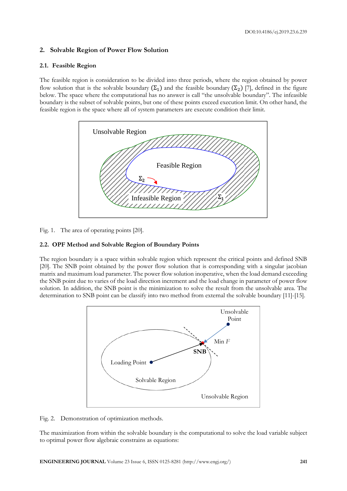# **2. Solvable Region of Power Flow Solution**

## **2.1. Feasible Region**

The feasible region is consideration to be divided into three periods, where the region obtained by power flow solution that is the solvable boundary  $(\Sigma_1)$  and the feasible boundary  $(\Sigma_2)$  [7], defined in the figure below. The space where the computational has no answer is call "the unsolvable boundary". The infeasible boundary is the subset of solvable points, but one of these points exceed execution limit. On other hand, the feasible region is the space where all of system parameters are execute condition their limit.



Fig. 1. The area of operating points [20].

# **2.2. OPF Method and Solvable Region of Boundary Points**

The region boundary is a space within solvable region which represent the critical points and defined SNB [20]. The SNB point obtained by the power flow solution that is corresponding with a singular jacobian matrix and maximum load parameter. The power flow solution inoperative, when the load demand exceeding the SNB point due to varies of the load direction increment and the load change in parameter of power flow solution. In addition, the SNB point is the minimization to solve the result from the unsolvable area. The determination to SNB point can be classify into two method from external the solvable boundary [11]-[15].



Fig. 2. Demonstration of optimization methods.

The maximization from within the solvable boundary is the computational to solve the load variable subject to optimal power flow algebraic constrains as equations: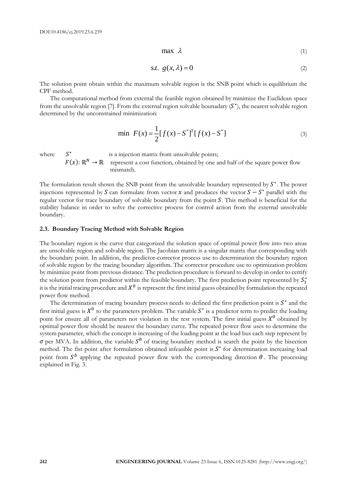(1)

$$
s.t. \ g(x,\lambda) = 0 \tag{2}
$$

The solution point obtain within the maximum solvable region is the SNB point which is equilibrium the CPF method.

The computational method from external the feasible region obtained by minimize the Euclidean space from the unsolvable region [7]. From the external region solvable bounadary  $(S^*)$ , the nearest solvable region determined by the unconstrained minimization:

$$
\min \ F(x) = \frac{1}{2} [f(x) - S^*]^T [f(x) - S^*] \tag{3}
$$

where

 $S^*$  is a injection matrix from unsolvable points;  $F(x): \mathbb{R}^N \to \mathbb{R}$  represent a cost function, obtained by one and half of the square power flow mismatch.

The formulation result shown the SNB point from the unsolvable boundary represented by  $S^*$ . The power injections represented by S can formulate from vector x and produces the vector  $S - S^*$  parallel with the regular vector for trace boundary of solvable boundary from the point S. This method is beneficial for the stability balance in order to solve the corrective process for control action from the external unsolvable boundary.

#### **2.3. Boundary Tracing Method with Solvable Region**

The boundary region is the curve that categorized the solution space of optimal power flow into two areas are unsolvable region and solvable region. The Jacobian matrix is a singular matrix that corresponding with the boundary point. In addition, the predictor-corrector process use to determination the boundary region of solvable region by the tracing boundary algorithm. The corrector procedure use to optimization problem by minimize point from previous distance. The prediction procedure is forward to develop in order to certify the solution point from predictor within the feasible boundary. The first prediction point represented by  $S_1^*$ it is the initial tracing procedure and  $X^0$  is represent the first initial guess obtained by formulation the repeated power flow method.

**222 EVALUAT CONSULTS CONSULTS CONSULTS CONSULTS CONSULTS CONSULTS CONSULTS CONSULTS CONSULTS CONSULTS CONSULTS CONSULTS CONSULTS CONSULTS CONSULTS CONSULTS CONSULTS CONSULTS CONSULTS CONSULTS CONSULTS CONSULTS CONSULTS** The determination of tracing boundary process needs to defined the first prediction point is  $S^*$  and the first initial guess is  $X^0$  to the parameters problem. The variable  $S^*$  is a predictor term to predict the loading point for ensure all of parameters not violation in the test system. The first initial guess  $X^0$  obtained by optimal power flow should be nearest the boundary curve. The repeated power flow uses to determine the system parameter, which the concept is increasing of the loading point at the load bus each step represent by  $\sigma$  per MVA. In addition, the variable  $S^b$  of tracing boundary method is search the point by the bisection method. The fist point after formulation obtained infeasible point is  $S^*$  for determination increasing load point from  $S^b$  applying the repeated power flow with the corresponding direction  $\theta$ . The processing explained in Fig. 3.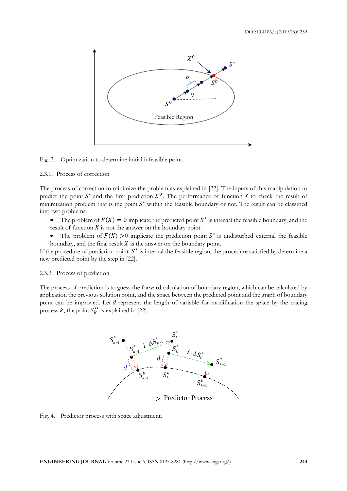

Fig. 3. Optimization to determine initial infeasible point.

## 2.3.1. Process of correction

The process of correction to minimize the problem as explained in [22]. The inputs of this manipulation to predict the point  $S^*$  and the first prediction  $X^0$ . The performance of function X to check the result of minimization problem that is the point  $S^*$  within the feasible boundary or not. The result can be classified into two problems:

- The problem of  $F(X) = 0$  implicate the predicted point  $S^*$  is internal the feasible boundary, and the result of function  $X$  is not the answer on the boundary point.
- The problem of  $F(X) > 0$  implicate the prediction point  $S^*$  is undisturbed external the feasible boundary, and the final result  $X$  is the answer on the boundary point.

If the procedure of prediction point  $S^*$  is internal the feasible region, the procedure satisfied by determine a new predicted point by the step in [22].

#### 2.3.2. Process of prediction

The process of prediction is to guess the forward calculation of boundary region, which can be calculated by application the previous solution point, and the space between the predicted point and the graph of boundary point can be improved. Let  $d$  represent the length of variable for modification the space by the tracing process  $k$ , the point  $S_k^{*'}$  is explained in [22].



Fig. 4. Predictor process with space adjustment.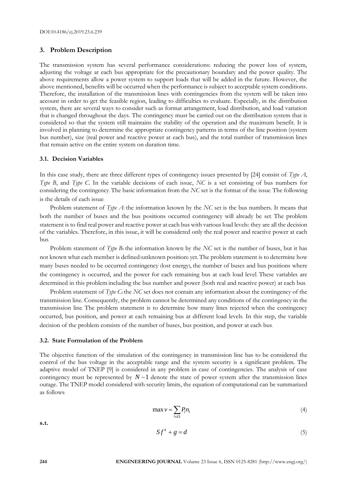## **3. Problem Description**

The transmission system has several performance considerations: reducing the power loss of system, adjusting the voltage at each bus appropriate for the precautionary boundary and the power quality. The above requirements allow a power system to support loads that will be added in the future. However, the above mentioned, benefits will be occurred when the performance is subject to acceptable system conditions. Therefore, the installation of the transmission lines with contingencies from the system will be taken into account in order to get the feasible region, leading to difficulties to evaluate. Especially, in the distribution system, there are several ways to consider such as format arrangement, load distribution, and load variation that is changed throughout the days. The contingency must be carried out on the distribution system that is considered so that the system still maintains the stability of the operation and the maximum benefit. It is involved in planning to determine the appropriate contingency patterns in terms of the line position (system bus number), size (real power and reactive power at each bus), and the total number of transmission lines that remain active on the entire system on duration time.

## **3.1. Decision Variables**

In this case study, there are three different types of contingency issues presented by [24] consist of: *Type A*, *Type B*, and *Type C*. In the variable decisions of each issue, *NC* is a set consisting of bus numbers for considering the contingency. The basic information from the *NC* set is the format of the issue. The following is the details of each issue:

Problem statement of *Type A*: the information known by the *NC* set is the bus numbers. It means that both the number of buses and the bus positions occurred contingency will already be set. The problem statement is to find real power and reactive power at each bus with various load levels: they are all the decision of the variables. Therefore, in this issue, it will be considered only the real power and reactive power at each bus.

Problem statement of *Type B*: the information known by the *NC* set is the number of buses, but it has not known what each member is defined (unknown position) yet.The problem statement is to determine how many buses needed to be occurred contingency (lost energy), the number of buses and bus positions where the contingency is occurred, and the power for each remaining bus at each load level. These variables are determined in this problem including the bus number and power (both real and reactive power) at each bus.

Problem statement of *Type C*: the *NC* set does not contain any information about the contingency of the transmission line. Consequently, the problem cannot be determined any conditions of the contingency in the transmission line. The problem statement is to determine how many lines rejected when the contingency occurred, bus position, and power at each remaining bus at different load levels. In this step, the variable decision of the problem consists of the number of buses, bus position, and power at each bus.

#### **3.2. State Formulation of the Problem**

The objective function of the simulation of the contingency in transmission line has to be considered the control of the bus voltage in the acceptable range and the system security is a significant problem. The adaptive model of TNEP [9] is considered in any problem in case of contingencies. The analysis of case contingency must be represented by  $N-1$  denote the state of power system after the transmission lines outage. The TNEP model considered with security limits, the equation of computational can be summarized as follows:

$$
\max v = \sum_{l \in \Omega} P_l n_l \tag{4}
$$

**s.t.**

$$
Sf^k + g = d \tag{5}
$$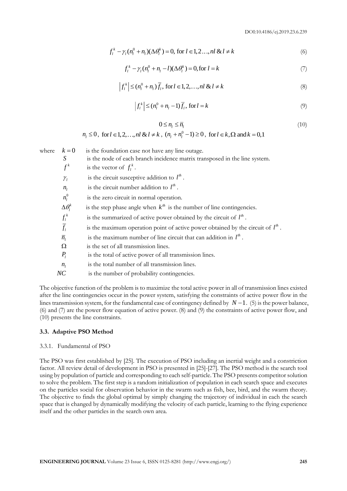$$
f_l^k - \gamma_l (n_l^0 + n_l) (\Delta \theta_l^k) = 0, \text{ for } l \in 1, 2, ..., nl \& l \neq k
$$
 (6)

$$
f_l^k - \gamma_l (n_l^0 + n_l - l)(\Delta \theta_l^k) = 0, \text{for } l = k
$$
 (7)

$$
\left|f_l^k\right| \leq (n_l^0 + n_l)\overline{f}_l, \text{ for } l \in 1, 2, \dots, nl \& l \neq k \tag{8}
$$

$$
\left|f_l^k\right| \leq (n_l^0 + n_l - 1)\overline{f_l}, \text{ for } l = k \tag{9}
$$

$$
0 \le n_l \le \overline{n}_l \tag{10}
$$

$$
n_1 \le 0
$$
, for  $l \in 1, 2, ..., nl \& l \ne k$ ,  $(n_1 + n_1^0 - 1) \ge 0$ , for  $l \in k$ ,  $\Omega$  and  $k = 0, 1$ 

 $f_x^2 = y_x(x_0^2 + u_x \cos \theta_x) = 0$ ,  $\text{for } t \in 1, 2, ..., n \text{ for } t \in \mathbb{R}$ <br>  $f_y^2 = (x_0^2 + u_y - 1) \overline{f_x}$ ,  $\text{for } t \in \mathbb{R}, 2, ..., n \text{ for } t \in \mathbb{R}$ <br>  $\{f_z^2 \le (x_0^2 + u_y - 1) \overline{f_z}$ ,  $\text{for } t \in \mathbb{R}, 2, ..., n \text{ for } t \in \mathbb{R}$ <br>  $\{x_0^2 \le (x_0^2 + u_y - 1) \$ where  $k = 0$  is the foundation case not have any line outage. *S* is the node of each branch incidence matrix transposed in the line system.  $f^k$  $f^k$  is the vector of  $f^k_l$ .  $\gamma_i$  $\gamma_l$  is the circuit susceptive addition to  $l^h$ .  $n_l$  is the circuit number addition to  $l^h$ .  $n_i^0$ *is the zero circuit in normal operation.*  $\Delta \theta_i^i$ is the step phase angle when  $k^{th}$  is the number of line contingencies. *k l*  $f_l^k$  is the summarized of active power obtained by the circuit of  $l^h$ .  $\overline{f}$  $f_l$  is the maximum operation point of active power obtained by the circuit of  $l^h$ .  $\bar{n}_l$  is the maximum number of line circuit that can addition in  $l^h$ .  $\Omega$  is the set of all transmission lines. *P<sup>l</sup>* is the total of active power of all transmission lines.  $n_i$  is the total number of all transmission lines. *NC* is the number of probability contingencies.

The objective function of the problem is to maximize the total active power in all of transmission lines existed after the line contingencies occur in the power system, satisfying the constraints of active power flow in the lines transmission system, for the fundamental case of contingency defined by  $N-1$ . (5) is the power balance, (6) and (7) are the power flow equation of active power. (8) and (9) the constraints of active power flow, and (10) presents the line constraints.

## **3.3. Adaptive PSO Method**

#### 3.3.1. Fundamental of PSO

The PSO was first established by [25]. The execution of PSO including an inertial weight and a constriction factor. All review detail of development in PSO is presented in [25]-[27]. The PSO method is the search tool using by population of particle and corresponding to each self-particle. The PSO presents competitor solution to solve the problem. The first step is a random initialization of population in each search space and executes on the particles social for observation behavior in the swarm such as fish, bee, bird, and the swarm theory. The objective to finds the global optimal by simply changing the trajectory of individual in each the search space that is changed by dynamically modifying the velocity of each particle, learning to the flying experience itself and the other particles in the search own area.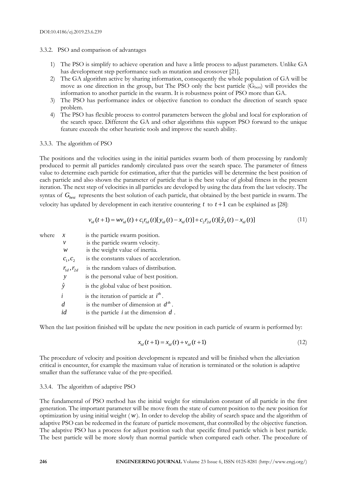## 3.3.2. PSO and comparison of advantages

- 1) The PSO is simplify to achieve operation and have a little process to adjust parameters. Unlike GA has development step performance such as mutation and crossover [21].
- 2) The GA algorithm active by sharing information, consequently the whole population of GA will be move as one direction in the group, but The PSO only the best particle  $(G_{best})$  will provides the information to another particle in the swarm. It is robustness point of PSO more than GA.
- 3) The PSO has performance index or objective function to conduct the direction of search space problem.
- 4) The PSO has flexible process to control parameters between the global and local for exploration of the search space. Different the GA and other algorithms this support PSO forward to the unique feature exceeds the other heuristic tools and improve the search ability.

## 3.3.3. The algorithm of PSO

The positions and the velocities using in the initial particles swarm both of them processing by randomly produced to permit all particles randomly circulated pass over the search space. The parameter of fitness value to determine each particle for estimation, after that the particles will be determine the best position of each particle and also shown the parameter of particle that is the best value of global fitness in the present iteration. The next step of velocities in all particles are developed by using the data from the last velocity. The syntax of  $G_{best}$  represents the best solution of each particle, that obtained by the best particle in swarm. The velocity has updated by development in each iterative countering  $t$  to  $t+1$  can be explained as [28]:

$$
v_{id}(t+1) = w v_{id}(t) + c_1 r_{id}(t) [y_{id}(t) - x_{id}(t)] + c_2 r_{2d}(t) [\hat{y}_d(t) - x_{id}(t)]
$$
\n(1)

| where | x                      | is the particle swarm position.            |
|-------|------------------------|--------------------------------------------|
|       | ν                      | is the particle swarm velocity.            |
|       | w                      | is the weight value of inertia.            |
|       | $c_1, c_2$             | is the constants values of acceleration.   |
|       | $r_{1d}^{}, r_{2d}^{}$ | is the random values of distribution.      |
|       | y                      | is the personal value of best position.    |
|       | ŷ                      | is the global value of best position.      |
|       | i                      | is the iteration of particle at $i^{th}$ . |
|       | d                      | is the number of dimension at $d^{th}$ .   |
|       | id                     | is the particle $i$ at the dimension $d$ . |

When the last position finished will be update the new position in each particle of swarm is performed by:

$$
x_{id}(t+1) = x_{id}(t) + v_{id}(t+1)
$$
\n(12)

The procedure of velocity and position development is repeated and will be finished when the alleviation critical is encounter, for example the maximum value of iteration is terminated or the solution is adaptive smaller than the sufferance value of the pre-specified.

## 3.3.4. The algorithm of adaptive PSO

The fundamental of PSO method has the initial weight for stimulation constant of all particle in the first generation. The important parameter will be move from the state of current position to the new position for optimization by using initial weight ( *w* ). In order to develop the ability of search space and the algorithm of adaptive PSO can be redeemed in the feature of particle movement, that controlled by the objective function. The adaptive PSO has a process for adjust position such that specific fitted particle which is best particle. The best particle will be more slowly than normal particle when compared each other. The procedure of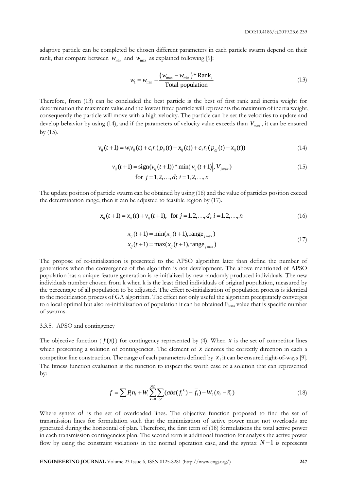adaptive particle can be completed be chosen different parameters in each particle swarm depend on their rank, that compare between  $w_{\text{min}}$  and  $w_{\text{max}}$  as explained following [9]:

$$
w_{1} = w_{\min} + \frac{(w_{\max} - w_{\min}) \cdot \text{Rank}_{i}}{\text{Total population}}
$$
\n(13)

Therefore, from (13) can be concluded the best particle is the best of first rank and inertia weight for determination the maximum value and the lowest fitted particle will represents the maximum of inertia weight, consequently the particle will move with a high velocity. The particle can be set the velocities to update and develop behavior by using (14), and if the parameters of velocity value exceeds than  $V_{\text{max}}$ , it can be ensured by (15).

$$
v_{ij}(t+1) = w_i v_{ij}(t) + c_1 r_1 (p_{ij}(t) - x_{ij}(t)) + c_2 r_2 (p_{ij}(t) - x_{ij}(t))
$$
\n(14)

$$
v_{ij}(t+1) = sign(v_{ij}(t+1)) * min(|v_{ij}(t+1)|, V_{jmax})
$$
  
for  $j = 1, 2, ..., d; i = 1, 2, ..., n$  (15)

The update position of particle swarm can be obtained by using (16) and the value of particles position exceed the determination range, then it can be adjusted to feasible region by (17).

$$
x_{ij}(t+1) = x_{ij}(t) + v_{ij}(t+1), \text{ for } j = 1, 2, ..., d; i = 1, 2, ..., n
$$
\n(16)

$$
x_{ij}(t+1) = \min(x_{ij}(t+1), \text{range}_{j\text{max}})
$$
  
\n
$$
x_{ij}(t+1) = \max(x_{ij}(t+1), \text{range}_{j\text{max}})
$$
\n(17)

The propose of re-initialization is presented to the APSO algorithm later than define the number of generations when the convergence of the algorithm is not development. The above mentioned of APSO population has a unique feature generation is re-initialized by new randomly produced individuals. The new individuals number chosen from k when k is the least fitted individuals of original population, measured by the percentage of all population to be adjusted. The effect re-initialization of population process is identical to the modification process of GA algorithm. The effect not only useful the algorithm precipitately converges to a local optimal but also re-initialization of population it can be obtained Fbest value that is specific number of swarms.

#### 3.3.5. APSO and contingency

The objective function  $(f(x))$  for contingency represented by (4). When x is the set of competitor lines which presenting a solution of contingencies. The element of  $x$  denotes the correctly direction in each a competitor line construction. The range of each parameters defined by  $x_i$  it can be ensured right-of-ways [9]. The fitness function evaluation is the function to inspect the worth case of a solution that can represented by:

$$
f = \sum_{l} P_{l} n_{l} + W_{l} \sum_{k=0}^{NC} \sum_{ol} (abs(f_{l}^{k}) - \overline{f}_{l}) + W_{2}(n_{l} - \overline{n}_{l})
$$
\n(18)

Where syntax ol is the set of overloaded lines. The objective function proposed to find the set of transmission lines for formulation such that the minimization of active power must not overloads are generated during the horizontal of plan. Therefore, the first term of (18) formulations the total active power in each transmission contingencies plan. The second term is additional function for analysis the active power flow by using the constraint violations in the normal operation case, and the syntax  $N-1$  is represents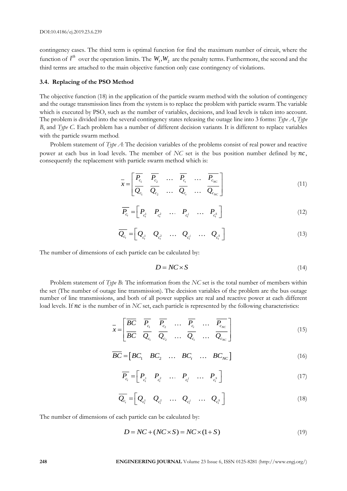contingency cases. The third term is optimal function for find the maximum number of circuit, where the function of  $l^h$  over the operation limits. The  $W_1, W_2$  are the penalty terms. Furthermore, the second and the third terms are attached to the main objective function only case contingency of violations.

#### **3.4. Replacing of the PSO Method**

The objective function (18) in the application of the particle swarm method with the solution of contingency and the outage transmission lines from the system is to replace the problem with particle swarm. The variable which is executed by PSO, such as the number of variables, decisions, and load levels is taken into account. The problem is divided into the several contingency states releasing the outage line into 3 forms: *Type A*, *Type B*, and *Type C*. Each problem has a number of different decision variants. It is different to replace variables with the particle swarm method.

Problem statement of *Type A*: The decision variables of the problems consist of real power and reactive power at each bus in load levels. The member of *NC* set is the bus position number defined by  $nc$ , consequently the replacement with particle swarm method which is:

$$
\overline{x} = \begin{bmatrix} \overline{P_{c_1}} & \overline{P_{c_2}} & \dots & \overline{P_{c_t}} & \dots & \overline{P_{c_{NC}}} \\ \overline{Q_{c_1}} & \overline{Q_{c_2}} & \dots & \overline{Q_{c_t}} & \dots & \overline{Q_{c_{NC}}} \end{bmatrix}
$$
\n(11)

$$
\overline{P_{c_i}} = \begin{bmatrix} P_{c_i^1} & P_{c_i^2} & \dots & P_{c_i^j} & \dots & P_{c_i^s} \end{bmatrix} \tag{12}
$$

$$
\overline{Q_{c_i}} = \begin{bmatrix} Q_{c_i^1} & Q_{c_i^2} & \dots & Q_{c_i^j} & \dots & Q_{c_i^s} \end{bmatrix}
$$
\n(13)

The number of dimensions of each particle can be calculated by:

$$
D = NC \times S \tag{14}
$$

Problem statement of *Type B***:** The information from the *NC* set is the total number of members within the set (The number of outage line transmission). The decision variables of the problem are the bus outage number of line transmissions, and both of all power supplies are real and reactive power at each different load levels. If  $nc$  is the number of in *NC* set, each particle is represented by the following characteristics:

$$
\overline{x} = \begin{bmatrix} \overline{BC} & \overline{P_{c_1}} & \overline{P_{c_2}} & \dots & \overline{P_{c_r}} & \dots & \overline{P_{c_{NC}}} \\ \overline{BC} & \overline{Q_{c_1}} & \overline{Q_{c_2}} & \dots & \overline{Q_{c_r}} & \dots & \overline{Q_{c_{NC}}} \end{bmatrix}
$$
\n(15)

$$
\overline{BC} = \begin{bmatrix} BC_1 & BC_2 & \dots & BC_t & \dots & BC_{NC} \end{bmatrix}
$$
 (16)

$$
\overline{P_{c_i}} = \begin{bmatrix} P_{c_i^1} & P_{c_i^2} & \dots & P_{c_i^j} & \dots & P_{c_i^s} \end{bmatrix} \tag{17}
$$

$$
\overline{Q_{c_i}} = \begin{bmatrix} Q_{c_i^1} & Q_{c_i^2} & \cdots & Q_{c_i^j} & \cdots & Q_{c_i^s} \end{bmatrix}
$$
\n(18)

The number of dimensions of each particle can be calculated by:

$$
D = NC + (NC \times S) = NC \times (1+S)
$$
\n<sup>(19)</sup>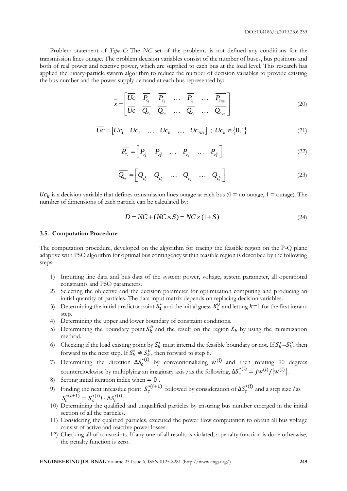Problem statement of *Type C***:** The *NC* set of the problems is not defined any conditions for the transmission lines outage. The problem decision variables consist of the number of buses, bus positions and both of real power and reactive power, which are supplied to each bus at the load level. This research has applied the binary-particle swarm algorithm to reduce the number of decision variables to provide existing the bus number and the power supply demand at each bus represented by:

$$
\overline{x} = \begin{bmatrix} \overline{Uc} & \overline{P_{c_1}} & \overline{P_{c_2}} & \dots & \overline{P_{c_r}} & \dots & \overline{P_{c_{NB}}} \\ \overline{Uc} & \overline{Q_{c_1}} & \overline{Q_{c_2}} & \dots & \overline{Q_{c_r}} & \dots & \overline{Q_{c_{NB}}} \end{bmatrix}
$$
\n(20)

$$
\overline{Uc} = [Uc_1 \quad Uc_2 \quad \dots \quad Uc_k \quad \dots \quad Uc_{NB}] \; ; \; Uc_k \in \{0,1\}
$$
 (21)

$$
\overline{P_{c_k}} = \begin{bmatrix} P_{c_k^1} & P_{c_k^2} & \dots & P_{c_k^j} & \dots & P_{c_k^s} \end{bmatrix} \tag{22}
$$

$$
\overline{Q_{c_k}} = \begin{bmatrix} Q_{c_k^1} & Q_{c_k^2} & \cdots & Q_{c_k^j} & \cdots & Q_{c_k^s} \end{bmatrix}
$$
\n(23)

 $Uc_k$  is a decision variable that defines transmission lines outage at each bus (0 = no outage, 1 = outage). The number of dimensions of each particle can be calculated by:

$$
D = NC + (NC \times S) = NC \times (1 + S)
$$
\n<sup>(24)</sup>

#### **3.5. Computation Procedure**

The computation procedure, developed on the algorithm for tracing the feasible region on the P-Q plane adaptive with PSO algorithm for optimal bus contingency within feasible region is described by the following steps:

- 1) Inputting line data and bus data of the system: power, voltage, system parameter, all operational constraints and PSO parameters.
- 2) Selecting the objective and the decision parameter for optimization computing and producing an initial quantity of particles. The data input matrix depends on replacing decision variables.
- 3) Determining the initial predictor point  $S_1^*$  and the initial guess  $X_1^0$  and letting  $k=1$  for the first iteranc step.
- 4) Determining the upper and lower boundary of constraint conditions.
- 5) Determining the boundary point  $S_k^b$  and the result on the region  $X_k$  by using the minimization method.
- 6) Checking if the load existing point by  $S_k^*$  must internal the feasible boundary or not. If  $S_k^* = S_k^b$ , then forward to the next step. If  $S_k^* \neq S_k^b$ , then forward to step 8.
- 7) Determining the direction  $\Delta S_c^{*(i)}$  by conventionalizing  $w^{(i)}$  and then rotating 90 degrees counterclockwise by multiplying an imaginary axis *j* as the following,  $\Delta S_c^{*(i)} = j w^{(i)} / |w^{(i)}|$ .
- 8) Setting initial iteration index when  $= 0$ .
- 9) Finding the next infeasible point  $S_c^{*(i+1)}$  followed by consideration of  $\Delta S_c^{*(i)}$  and a step size *l* as  $S_c^{*(i+1)} = S_c^{*(i)} l \cdot \Delta S_c^{*(i)}$ .
- 10) Determining the qualified and unqualified particles by ensuring bus number emerged in the initial section of all the particles.
- 11) Considering the qualified particles, executed the power flow computation to obtain all bus voltage consist of active and reactive power losses.
- 12) Checking all of constraints. If any one of all results is violated, a penalty function is done otherwise, the penalty function is zero.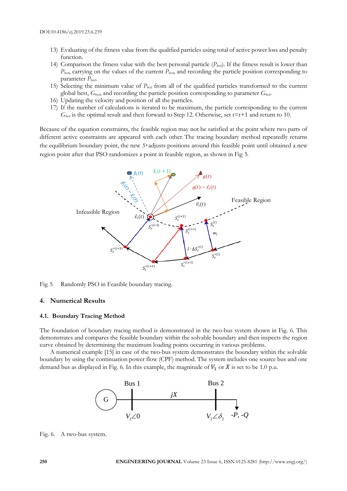- 13) Evaluating of the fitness value from the qualified particles using total of active power loss and penalty function.
- 14) Comparison the fitness value with the best personal particle  $(P_{\text{best}})$ . If the fitness result is lower than *Pbest*, carrying on the values of the current *Pbest*, and recording the particle position corresponding to parameter *Pbest*.
- 15) Selecting the minimum value of *Pbest* from all of the qualified particles transformed to the current global best, *Gbest*, and recording the particle position corresponding to parameter *Gbest*.
- 16) Updating the velocity and position of all the particles.
- 17) If the number of calculations is iterated to be maximum, the particle corresponding to the current  $G_{best}$  is the optimal result and then forward to Step 12. Otherwise, set t=t+1 and return to 10.

Because of the equation constraints, the feasible region may not be satisfied at the point where two parts of different active constraints are appeared with each other. The tracing boundary method repeatedly returns the equilibrium boundary point, the new *S\** adjusts positions around this feasible point until obtained a new region point after that PSO randomizes a point in feasible region, as shown in Fig. 5.



#### Fig. 5. Randomly PSO in Feasible boundary tracing.

#### **4. Numerical Results**

#### **4.1. Boundary Tracing Method**

The foundation of boundary tracing method is demonstrated in the two-bus system shown in Fig. 6. This demonstrates and compares the feasible boundary within the solvable boundary and then inspects the region curve obtained by determining the maximum loading points occurring in various problems.

A numerical example [15] in case of the two-bus system demonstrates the boundary within the solvable boundary by using the continuation power flow (CPF) method. The system includes one source bus and one demand bus as displayed in Fig. 6. In this example, the magnitude of  $V_1$  or  $X$  is set to be 1.0 p.u.



Fig. 6. A two-bus system.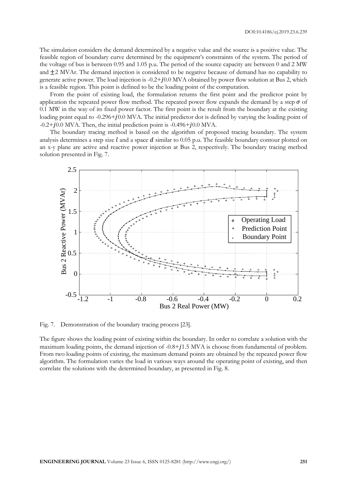The simulation considers the demand determined by a negative value and the source is a positive value. The feasible region of boundary curve determined by the equipment's constraints of the system. The period of the voltage of bus is between 0.95 and 1.05 p.u. The period of the source capacity are between 0 and 2 MW and  $\pm 2$  MVAr. The demand injection is considered to be negative because of demand has no capability to generate active power. The load injection is  $-0.2+j0.0$  MVA obtained by power flow solution at Bus 2, which is a feasible region. This point is defined to be the loading point of the computation.

From the point of existing load, the formulation returns the first point and the predictor point by application the repeated power flow method. The repeated power flow expands the demand by a step  $\sigma$  of 0.1 MW in the way of its fixed power factor. The first point is the result from the boundary at the existing loading point equal to  $-0.296 + 10.0$  MVA. The initial predictor dot is defined by varying the loading point of  $-0.2+j0.0$  MVA. Then, the initial prediction point is  $-0.496+j0.0$  MVA.

The boundary tracing method is based on the algorithm of proposed tracing boundary. The system analysis determines a step size  $\ell$  and a space  $\ell$  similar to 0.05 p.u. The feasible boundary contour plotted on an x-y plane are active and reactive power injection at Bus 2, respectively. The boundary tracing method solution presented in Fig. 7.



Fig. 7. Demonstration of the boundary tracing process [23].

The figure shows the loading point of existing within the boundary. In order to correlate a solution with the maximum loading points, the demand injection of  $-0.8+j1.5$  MVA is choose from fundamental of problem. From two loading points of existing, the maximum demand points are obtained by the repeated power flow algorithm. The formulation varies the load in various ways around the operating point of existing, and then correlate the solutions with the determined boundary, as presented in Fig. 8.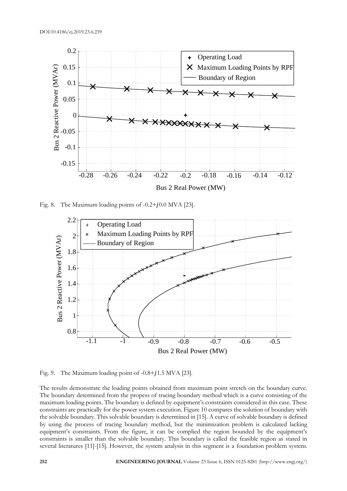

Fig. 8. The Maximum loading points of  $-0.2+j0.0$  MVA [23].



Fig. 9. The Maximum loading point of  $-0.8+j1.5$  MVA [23].

The results demonstrate the loading points obtained from maximum point stretch on the boundary curve. The boundary determined from the propess of tracing boundary method which is a curve consisting of the maximum loading points. The boundary is defined by equipment's constraints considered in this case. These constraints are practically for the power system execution. Figure 10 compares the solution of boundary with the solvable boundary. This solvable boundary is determined in [15]. A curve of solvable boundary is defined by using the process of tracing boundary method, but the minimization problem is calculated lacking equipment's constraints. From the figure, it can be complied the region bounded by the equipment's constraints is smaller than the solvable boundary. This boundary is called the feasible region as stated in several literatures [11]-[15]. However, the system analysis in this segment is a foundation problem system.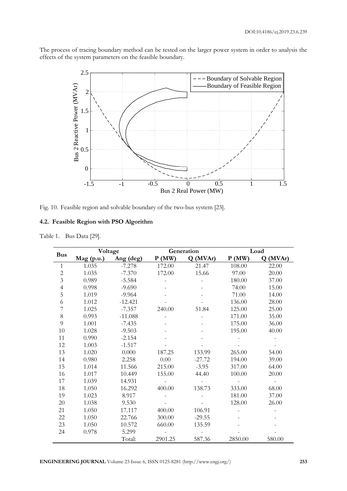The process of tracing boundary method can be tested on the larger power system in order to analysis the effects of the system parameters on the feasible boundary.



Fig. 10. Feasible region and solvable boundary of the two-bus system [23].

## **4.2. Feasible Region with PSO Algorithm**

Table 1. Bus Data [29].

| <b>Bus</b>     | Voltage      |           |         | Generation | Load    |         |  |
|----------------|--------------|-----------|---------|------------|---------|---------|--|
|                | $Mag$ (p.u.) | Ang (deg) | P(MW)   | Q(MVAr)    | P(MW)   | Q(MVAr) |  |
| 1              | 1.035        | $-7.278$  | 172.00  | 21.47      | 108.00  | 22.00   |  |
| $\overline{2}$ | 1.035        | $-7.370$  | 172.00  | 15.66      | 97.00   | 20.00   |  |
| $\overline{3}$ | 0.989        | $-5.584$  |         |            | 180.00  | 37.00   |  |
| $\overline{4}$ | 0.998        | $-9.690$  |         |            | 74.00   | 15.00   |  |
| 5              | 1.019        | $-9.964$  |         |            | 71.00   | 14.00   |  |
| 6              | 1.012        | $-12.421$ |         |            | 136.00  | 28.00   |  |
| 7              | 1.025        | $-7.357$  | 240.00  | 51.84      | 125.00  | 25.00   |  |
| 8              | 0.993        | $-11.088$ |         |            | 171.00  | 35.00   |  |
| 9              | 1.001        | $-7.435$  |         |            | 175.00  | 36.00   |  |
| 10             | 1.028        | $-9.503$  |         |            | 195.00  | 40.00   |  |
| 11             | 0.990        | $-2.154$  |         |            |         |         |  |
| 12             | 1.003        | $-1.517$  |         |            |         |         |  |
| 13             | 1.020        | 0.000     | 187.25  | 133.99     | 265.00  | 54.00   |  |
| 14             | 0.980        | 2.258     | 0.00    | $-27.72$   | 194.00  | 39.00   |  |
| 15             | 1.014        | 11.566    | 215.00  | $-3.95$    | 317.00  | 64.00   |  |
| 16             | 1.017        | 10.449    | 155.00  | 44.40      | 100.00  | 20.00   |  |
| 17             | 1.039        | 14.931    |         |            |         |         |  |
| 18             | 1.050        | 16.292    | 400.00  | 138.73     | 333.00  | 68.00   |  |
| 19             | 1.023        | 8.917     |         |            | 181.00  | 37.00   |  |
| 20             | 1.038        | 9.530     |         |            | 128.00  | 26.00   |  |
| 21             | 1.050        | 17.117    | 400.00  | 106.91     |         |         |  |
| 22             | 1.050        | 22.766    | 300.00  | $-29.55$   |         |         |  |
| 23             | 1.050        | 10.572    | 660.00  | 135.59     |         |         |  |
| 24             | 0.978        | 5.299     |         |            |         |         |  |
|                |              | Total:    | 2901.25 | 587.36     | 2850.00 | 580.00  |  |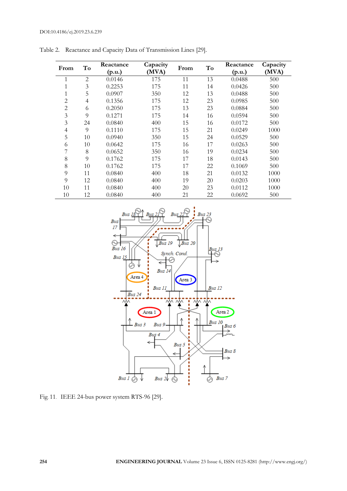| From           | To             | Reactance | Capacity | From | To | Reactance | Capacity |
|----------------|----------------|-----------|----------|------|----|-----------|----------|
|                |                | (p.u.)    | (MVA)    |      |    | (p.u.)    | (MVA)    |
|                | $\overline{2}$ | 0.0146    | 175      | 11   | 13 | 0.0488    | 500      |
|                | 3              | 0.2253    | 175      | 11   | 14 | 0.0426    | 500      |
| 1              | 5              | 0.0907    | 350      | 12   | 13 | 0.0488    | 500      |
| $\overline{2}$ | 4              | 0.1356    | 175      | 12   | 23 | 0.0985    | 500      |
| $\overline{2}$ | 6              | 0.2050    | 175      | 13   | 23 | 0.0884    | 500      |
| 3              | 9              | 0.1271    | 175      | 14   | 16 | 0.0594    | 500      |
| 3              | 24             | 0.0840    | 400      | 15   | 16 | 0.0172    | 500      |
| 4              | 9              | 0.1110    | 175      | 15   | 21 | 0.0249    | 1000     |
| 5              | 10             | 0.0940    | 350      | 15   | 24 | 0.0529    | 500      |
| 6              | 10             | 0.0642    | 175      | 16   | 17 | 0.0263    | 500      |
| 7              | 8              | 0.0652    | 350      | 16   | 19 | 0.0234    | 500      |
| 8              | 9              | 0.1762    | 175      | 17   | 18 | 0.0143    | 500      |
| 8              | 10             | 0.1762    | 175      | 17   | 22 | 0.1069    | 500      |
| 9              | 11             | 0.0840    | 400      | 18   | 21 | 0.0132    | 1000     |
| 9              | 12             | 0.0840    | 400      | 19   | 20 | 0.0203    | 1000     |
| 10             | 11             | 0.0840    | 400      | 20   | 23 | 0.0112    | 1000     |
| 10             | 12             | 0.0840    | 400      | 21   | 22 | 0.0692    | 500      |

Table 2. Reactance and Capacity Data of Transmission Lines [29].



Fig. 11. IEEE 24-bus power system RTS-96 [29].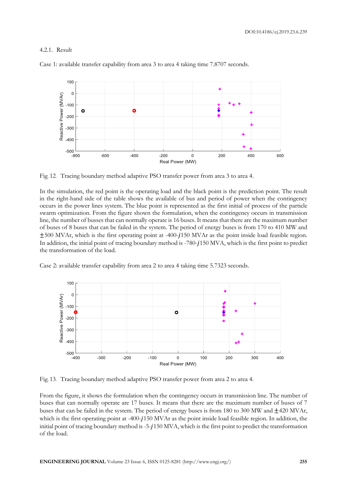## 4.2.1. Result



Case 1: available transfer capability from area 3 to area 4 taking time 7.8707 seconds.

Fig. 12. Tracing boundary method adaptive PSO transfer power from area 3 to area 4.

In the simulation, the red point is the operating load and the black point is the prediction point. The result in the right-hand side of the table shows the available of bus and period of power when the contingency occurs in the power lines system. The blue point is represented as the first initial of process of the particle swarm optimization. From the figure shown the formulation, when the contingency occurs in transmission line, the number of busses that can normally operate is 16 buses. It means that there are the maximum number of buses of 8 buses that can be failed in the system. The period of energy buses is from 170 to 410 MW and  $\pm 500$  MVAr, which is the first operating point at -400-1150 MVAr as the point inside load feasible region. In addition, the initial point of tracing boundary method is -780-1150 MVA, which is the first point to predict the transformation of the load.

Case 2: available transfer capability from area 2 to area 4 taking time 5.7323 seconds.



Fig. 13. Tracing boundary method adaptive PSO transfer power from area 2 to area 4.

From the figure, it shows the formulation when the contingency occurs in transmission line. The number of buses that can normally operate are 17 buses. It means that there are the maximum number of buses of 7 buses that can be failed in the system. The period of energy buses is from 180 to 300 MW and ±420 MVAr, which is the first operating point at -400-1150 MVAr as the point inside load feasible region. In addition, the initial point of tracing boundary method is -5-150 MVA, which is the first point to predict the transformation of the load.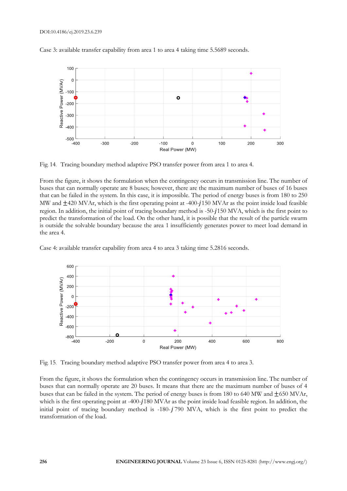#### DOI:10.4186/ej.2019.23.6.239



Case 3: available transfer capability from area 1 to area 4 taking time 5.5689 seconds.

Fig. 14. Tracing boundary method adaptive PSO transfer power from area 1 to area 4.

From the figure, it shows the formulation when the contingency occurs in transmission line. The number of buses that can normally operate are 8 buses; however, there are the maximum number of buses of 16 buses that can be failed in the system. In this case, it is impossible. The period of energy buses is from 180 to 250 MW and  $\pm$ 420 MVAr, which is the first operating point at -400-1150 MVAr as the point inside load feasible region. In addition, the initial point of tracing boundary method is -50-150 MVA, which is the first point to predict the transformation of the load. On the other hand, it is possible that the result of the particle swarm is outside the solvable boundary because the area 1 insufficiently generates power to meet load demand in the area 4.

Case 4: available transfer capability from area 4 to area 3 taking time 5.2816 seconds.



Fig. 15. Tracing boundary method adaptive PSO transfer power from area 4 to area 3.

From the figure, it shows the formulation when the contingency occurs in transmission line. The number of buses that can normally operate are 20 buses. It means that there are the maximum number of buses of 4 buses that can be failed in the system. The period of energy buses is from 180 to 640 MW and ±650 MVAr, which is the first operating point at -400-1180 MVAr as the point inside load feasible region. In addition, the initial point of tracing boundary method is  $-180 - j790$  MVA, which is the first point to predict the transformation of the load.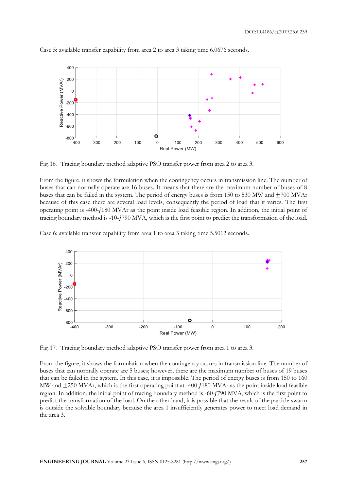

Case 5: available transfer capability from area 2 to area 3 taking time 6.0676 seconds.

Fig. 16. Tracing boundary method adaptive PSO transfer power from area 2 to area 3.

From the figure, it shows the formulation when the contingency occurs in transmission line. The number of buses that can normally operate are 16 buses. It means that there are the maximum number of buses of 8 buses that can be failed in the system. The period of energy buses is from 150 to 530 MW and ±700 MVAr because of this case there are several load levels, consequently the period of load that it varies. The first operating point is -400-180 MVAr as the point inside load feasible region. In addition, the initial point of tracing boundary method is -10-790 MVA, which is the first point to predict the transformation of the load.

Case 6: available transfer capability from area 1 to area 3 taking time 5.5012 seconds.



Fig. 17. Tracing boundary method adaptive PSO transfer power from area 1 to area 3.

From the figure, it shows the formulation when the contingency occurs in transmission line. The number of buses that can normally operate are 5 buses; however, there are the maximum number of buses of 19 buses that can be failed in the system. In this case, it is impossible. The period of energy buses is from 150 to 160 MW and  $\pm$ 250 MVAr, which is the first operating point at -400- $j$ 180 MVAr as the point inside load feasible region. In addition, the initial point of tracing boundary method is -60-790 MVA, which is the first point to predict the transformation of the load. On the other hand, it is possible that the result of the particle swarm is outside the solvable boundary because the area 1 insufficiently generates power to meet load demand in the area 3.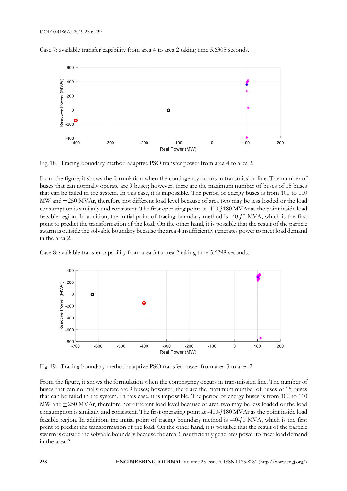

Case 7: available transfer capability from area 4 to area 2 taking time 5.6305 seconds.

Fig. 18. Tracing boundary method adaptive PSO transfer power from area 4 to area 2.

From the figure, it shows the formulation when the contingency occurs in transmission line. The number of buses that can normally operate are 9 buses; however, there are the maximum number of buses of 15 buses that can be failed in the system. In this case, it is impossible. The period of energy buses is from 100 to 110 MW and  $\pm$ 250 MVAr, therefore not different load level because of area two may be less loaded or the load consumption is similarly and consistent. The first operating point at -400-180 MVAr as the point inside load feasible region. In addition, the initial point of tracing boundary method is  $-40-j0$  MVA, which is the first point to predict the transformation of the load. On the other hand, it is possible that the result of the particle swarm is outside the solvable boundary because the area 4 insufficiently generates power to meet load demand in the area 2.

Case 8: available transfer capability from area 3 to area 2 taking time 5.6298 seconds.



Fig. 19. Tracing boundary method adaptive PSO transfer power from area 3 to area 2.

From the figure, it shows the formulation when the contingency occurs in transmission line. The number of buses that can normally operate are 9 buses; however, there are the maximum number of buses of 15 buses that can be failed in the system. In this case, it is impossible. The period of energy buses is from 100 to 110 MW and ±250 MVAr, therefore not different load level because of area two may be less loaded or the load consumption is similarly and consistent. The first operating point at -400-180 MVAr as the point inside load feasible region. In addition, the initial point of tracing boundary method is -40-j0 MVA, which is the first point to predict the transformation of the load. On the other hand, it is possible that the result of the particle swarm is outside the solvable boundary because the area 3 insufficiently generates power to meet load demand in the area 2.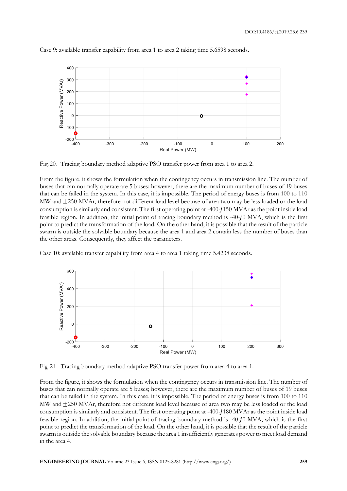

Case 9: available transfer capability from area 1 to area 2 taking time 5.6598 seconds.

Fig. 20. Tracing boundary method adaptive PSO transfer power from area 1 to area 2.

From the figure, it shows the formulation when the contingency occurs in transmission line. The number of buses that can normally operate are 5 buses; however, there are the maximum number of buses of 19 buses that can be failed in the system. In this case, it is impossible. The period of energy buses is from 100 to 110 MW and  $\pm$ 250 MVAr, therefore not different load level because of area two may be less loaded or the load consumption is similarly and consistent. The first operating point at -400-1150 MVAr as the point inside load feasible region. In addition, the initial point of tracing boundary method is  $-40-j0$  MVA, which is the first point to predict the transformation of the load. On the other hand, it is possible that the result of the particle swarm is outside the solvable boundary because the area 1 and area 2 contain less the number of buses than the other areas. Consequently, they affect the parameters.

Case 10: available transfer capability from area 4 to area 1 taking time 5.4238 seconds.



Fig. 21. Tracing boundary method adaptive PSO transfer power from area 4 to area 1.

From the figure, it shows the formulation when the contingency occurs in transmission line. The number of buses that can normally operate are 5 buses; however, there are the maximum number of buses of 19 buses that can be failed in the system. In this case, it is impossible. The period of energy buses is from 100 to 110 MW and  $\pm$ 250 MVAr, therefore not different load level because of area two may be less loaded or the load consumption is similarly and consistent. The first operating point at -400-180 MVAr as the point inside load feasible region. In addition, the initial point of tracing boundary method is  $-40-j0$  MVA, which is the first point to predict the transformation of the load. On the other hand, it is possible that the result of the particle swarm is outside the solvable boundary because the area 1 insufficiently generates power to meet load demand in the area 4.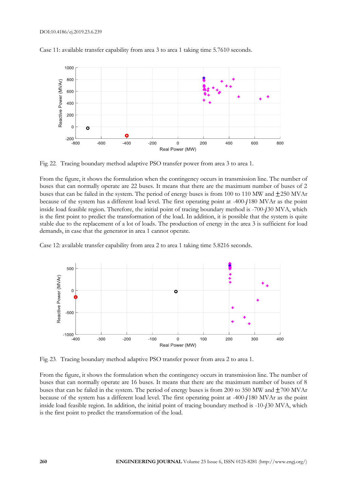

Case 11: available transfer capability from area 3 to area 1 taking time 5.7610 seconds.

Fig. 22. Tracing boundary method adaptive PSO transfer power from area 3 to area 1.

From the figure, it shows the formulation when the contingency occurs in transmission line. The number of buses that can normally operate are 22 buses. It means that there are the maximum number of buses of 2 buses that can be failed in the system. The period of energy buses is from 100 to 110 MW and ±250 MVAr because of the system has a different load level. The first operating point at -400-180 MVAr as the point inside load feasible region. Therefore, the initial point of tracing boundary method is -700-130 MVA, which is the first point to predict the transformation of the load. In addition, it is possible that the system is quite stable due to the replacement of a lot of loads. The production of energy in the area 3 is sufficient for load demands, in case that the generator in area 1 cannot operate.

Case 12: available transfer capability from area 2 to area 1 taking time 5.8216 seconds.



Fig. 23. Tracing boundary method adaptive PSO transfer power from area 2 to area 1.

From the figure, it shows the formulation when the contingency occurs in transmission line. The number of buses that can normally operate are 16 buses. It means that there are the maximum number of buses of 8 buses that can be failed in the system. The period of energy buses is from 200 to 350 MW and ±700 MVAr because of the system has a different load level. The first operating point at -400-180 MVAr as the point inside load feasible region. In addition, the initial point of tracing boundary method is -10-30 MVA, which is the first point to predict the transformation of the load.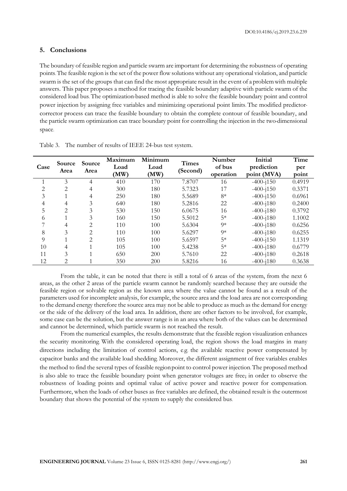## **5. Conclusions**

The boundary of feasible region and particle swarm are important for determining the robustness of operating points. The feasible region is the set of the power flow solutions without any operational violation, and particle swarm is the set of the groups that can find the most appropriate result in the event of a problemwith multiple answers. This paper proposes a method for tracing the feasible boundary adaptive with particle swarm of the considered load bus. The optimization-based method is able to solve the feasible boundary point and control power injection by assigning free variables and minimizing operational point limits. The modified predictorcorrector process can trace the feasible boundary to obtain the complete contour of feasible boundary, and the particle swarm optimization can trace boundary point for controlling the injection in the two-dimensional space.

| Case           | Source<br>Area | Source<br>Area | Maximum<br>Load<br>(MW) | Minimum<br>Load<br>(MW) | <b>Times</b><br>(Second) | Number<br>of bus<br>operation | Initial<br>prediction<br>point (MVA) | Time<br>per<br>point |
|----------------|----------------|----------------|-------------------------|-------------------------|--------------------------|-------------------------------|--------------------------------------|----------------------|
|                | 3              | 4              | 410                     | 170                     | 7.8707                   | 16                            | $-400 - i150$                        | 0.4919               |
| $\mathfrak{D}$ | $\mathfrak{D}$ | 4              | 300                     | 180                     | 5.7323                   | 17                            | $-400 - j150$                        | 0.3371               |
| 3              |                | 4              | 250                     | 180                     | 5.5689                   | $8*$                          | $-400 - 150$                         | 0.6961               |
| 4              | 4              | 3              | 640                     | 180                     | 5.2816                   | 22                            | $-400 - i180$                        | 0.2400               |
| 5              | 2              | 3              | 530                     | 150                     | 6.0675                   | 16                            | $-400 - i180$                        | 0.3792               |
| 6              |                | 3              | 160                     | 150                     | 5.5012                   | $5*$                          | $-400 - i180$                        | 1.1002               |
|                |                | $\overline{2}$ | 110                     | 100                     | 5.6304                   | $9*$                          | $-400 - i180$                        | 0.6256               |
| 8              | 3              | $\mathfrak{D}$ | 110                     | 100                     | 5.6297                   | $9*$                          | $-400 - i180$                        | 0.6255               |
| $\Omega$       |                | $\mathfrak{D}$ | 105                     | 100                     | 5.6597                   | $5*$                          | $-400 - 150$                         | 1.1319               |
| 10             | 4              |                | 105                     | 100                     | 5.4238                   | $5*$                          | $-400 - i180$                        | 0.6779               |
| 11             | 3              |                | 650                     | 200                     | 5.7610                   | 22                            | $-400 - j180$                        | 0.2618               |
| 12             | 2              |                | 350                     | 200                     | 5.8216                   | 16                            | $-400 - i180$                        | 0.3638               |

Table 3. The number of results of IEEE 24-bus test system.

From the table, it can be noted that there is still a total of 6 areas of the system, from the next 6 areas, as the other 2 areas of the particle swarm cannot be randomly searched because they are outside the feasible region or solvable region as the known area where the value cannot be found as a result of the parameters used for incomplete analysis, for example, the source area and the load area are not corresponding to the demand energy therefore the source area may not be able to produce as much as the demand for energy or the side of the delivery of the load area. In addition, there are other factors to be involved, for example, some case can be the solution, but the answer range is in an area where both of the values can be determined and cannot be determined, which particle swarm is not reached the result.

From the numerical examples, the results demonstrate that the feasible region visualization enhances the security monitoring. With the considered operating load, the region shows the load margins in many directions including the limitation of control actions, e.g. the available reactive power compensated by capacitor banks and the available load shedding. Moreover, the different assignment of free variables enables the method to find the several types of feasible regionpoint to control power injection. The proposed method is also able to trace the feasible boundary point when generator voltages are free, in order to observe the robustness of loading points and optimal value of active power and reactive power for compensation. Furthermore, when the loads of other buses as free variables are defined, the obtained result is the outermost boundary that shows the potential of the system to supply the considered bus.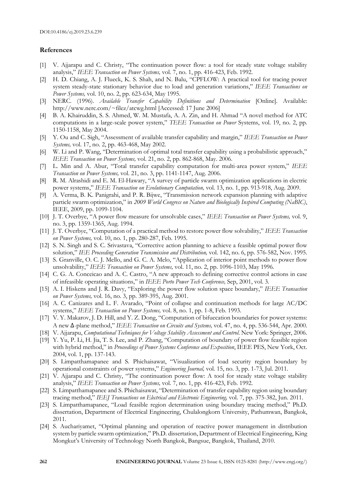# **References**

- [1] V. Ajjarapu and C. Christy, "The continuation power flow: a tool for steady state voltage stability analysis," *IEEE Transaction on Power Systems,* vol. 7, no. 1, pp. 416-423, Feb. 1992.
- [2] H. D. Chiang, A. J. Flueck, K. S. Shah, and N. Balu, "CPFLOW: A practical tool for tracing power system steady-state stationary behavior due to load and generation variations," *IEEE Transactions on Power Systems,* vol. 10, no. 2, pp. 623-634, May 1995.
- [3] NERC. (1996). *Available Transfer Capability Definitions and Determination* [Online]. Available: http://www.nerc.com/~filez/atcwg.html [Accessed: 17 June 2006]
- [4] B. A. Khairuddin, S. S. Ahmed, W. M. Mustafa, A. A. Zin, and H. Ahmad "A novel method for ATC computations in a large-scale power system," *TEEE Transaction on Power* Systems, vol. 19, no. 2, pp. 1150-1158, May 2004.
- [5] Y. Ou and C. Sigh, "Assessment of available transfer capability and margin," *IEEE Transaction on Power Systems,* vol. 17, no. 2, pp. 463-468, May 2002.
- [6] W. Li and P. Wang, "Determination of optimal total transfer capability using a probabilistic approach," *IEEE Transaction on Power Systems,* vol. 21, no. 2, pp. 862-868, May. 2006.
- [7] L. Min and A. Abur, "Total transfer capability computation for multi-area power system," *IEEE Transaction on Power Systems,* vol. 21, no. 3, pp. 1141-1147, Aug. 2006.
- [8] R. M. Alrashidi and E. M. El-Hawary, "A survey of particle swarm optimization applications in electric power systems," *IEEE Transaction on Evolutionary Computation,* vol. 13, no. 1, pp. 913-918, Aug. 2009.
- [9] A. Verma, B. K. Panigrahi, and P. R. Bijwe, "Transmission network expansion planning with adaptive particle swarm optimization," in *2009 World Congress on Nature and Biologically Inspired Computing (NaBIC)*, IEEE, 2009, pp. 1099-1104.
- [10] J. T. Overbye, "A power flow measure for unsolvable cases," *IEEE Transaction on Power Systems,* vol. 9, no. 3, pp. 1359-1365, Aug. 1994.
- [11] J. T. Overbye, "Computation of a practical method to restore power flow solvability," *IEEE Transaction on Power Systems,* vol. 10, no. 1, pp. 280-287, Feb. 1995.
- [12] S. N. Singh and S. C. Srivastava, "Corrective action planning to achieve a feasible optimal power flow solution," *IEE Proceeding Generation Transmission and Distribution,* vol. 142, no. 6, pp. 576-582, Nov. 1995.
- [13] S. Granville, O. C. J. Mello, and G. C. A. Melo, "Application of interior point methods to power flow unsolvability," *IEEE Transaction on Power Systems,* vol. 11, no. 2, pp. 1096-1103, May 1996.
- [14] C. G. A. Conceicao and A. C. Castro, "A new approach to defining corrective control actions in case of infeasible operating situations," in *IEEE Porto Power Tech Conference,* Sep, 2001, vol. 3.
- [15] A. I. Hiskens and J. R. Davy, "Exploring the power flow solution space boundary," *IEEE Transaction on Power Systems,* vol. 16, no. 3, pp. 389-395, Aug. 2001.
- [16] A. C. Canizares and L. F. Avarado, "Point of collapse and continuation methods for large AC/DC systems," *IEEE Transaction on Power Systems,* vol. 8, no. 1, pp. 1-8, Feb. 1993.
- [17] V. Y. Makarov, J. D. Hill, and Y. Z. Dong, "Computation of bifuecation boundaries for power systems: A new ∆-plane method," *IEEE Transaction on Circuits and Systems,* vol. 47, no. 4, pp. 536-544, Apr. 2000.
- [18] V. Ajjarapu, *Computational Techniques for Voltage Stability Assessment and Control*. New York: Springer, 2006.
- [19] Y. Yu, P. Li, H. Jia, T. S. Lee, and P. Zhang, "Computation of boundary of power flow feasible region with hybrid method," in *Proceedings of Power Systems Conference and Exposition*, IEEE PES, New York, Oct. 2004, vol. 1, pp. 137-143.
- [20] S. Limpatthamapanee and S. Phichaisawat, "Visualization of load security region boundary by operational constraints of power systems," *Engineering Journal,* vol. 15, no. 3, pp. 1-73, Jul. 2011.
- [21] V. Ajjarapu and C. Christy, "The continuation power flow: A tool for steady state voltage stability analysis," *IEEE Transaction on Power Systems,* vol. 7, no. 1, pp. 416-423, Feb. 1992.
- [22] S. Limpatthamapanee and S. Phichaisawat, "Determination of transfer capability region using boundary tracing method," *IEEJ Transactions on Electrical and Electronic Engineering,* vol. 7, pp. 375-382, Jun. 2011.
- [23] S. Limpatthamapanee, "Load feasible region determination using boundary tracing method," Ph.D. dissertation, Department of Electrical Engineering, Chulalongkorn University, Pathumwan, Bangkok, 2011.
- [24] S. Auchariyamet, "Optimal planning and operation of reactive power management in distribution system by particle swarm optimization," Ph.D. dissertation, Department of Electrical Engineering, King Mongkut's University of Technology North Bangkok, Bangsue, Bangkok, Thailand, 2010.